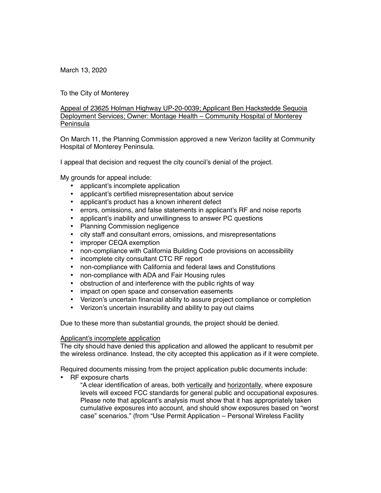March 13, 2020

To the City of Monterey

Appeal of 23625 Holman Highway UP-20-0039; Applicant Ben Hackstedde Sequoia Deployment Services; Owner: Montage Health – Community Hospital of Monterey Peninsula

On March 11, the Planning Commission approved a new Verizon facility at Community Hospital of Monterey Peninsula.

I appeal that decision and request the city council's denial of the project.

My grounds for appeal include:

- applicant's incomplete application
- applicant's certified misrepresentation about service
- applicant's product has a known inherent defect
- errors, omissions, and false statements in applicant's RF and noise reports
- applicant's inability and unwillingness to answer PC questions
- Planning Commission negligence
- city staff and consultant errors, omissions, and misrepresentations
- improper CEQA exemption
- non-compliance with California Building Code provisions on accessibility
- incomplete city consultant CTC RF report
- non-compliance with California and federal laws and Constitutions
- non-compliance with ADA and Fair Housing rules
- obstruction of and interference with the public rights of way
- impact on open space and conservation easements
- Verizon's uncertain financial ability to assure project compliance or completion
- Verizon's uncertain insurability and ability to pay out claims

Due to these more than substantial grounds, the project should be denied.

# Applicant's incomplete application

The city should have denied this application and allowed the applicant to resubmit per the wireless ordinance. Instead, the city accepted this application as if it were complete.

Required documents missing from the project application public documents include:

• RF exposure charts

"A clear identification of areas, both vertically and horizontally, where exposure levels will exceed FCC standards for general public and occupational exposures. Please note that applicant's analysis must show that it has appropriately taken cumulative exposures into account, and should show exposures based on "worst case" scenarios." (from "Use Permit Application – Personal Wireless Facility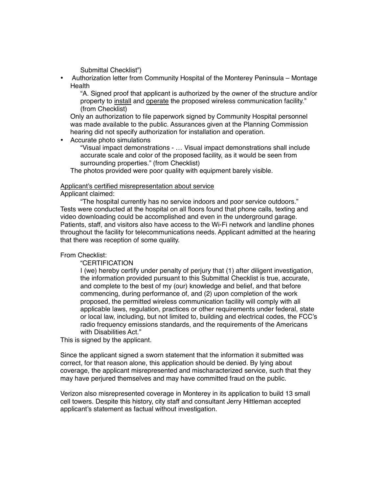Submittal Checklist")

• Authorization letter from Community Hospital of the Monterey Peninsula – Montage Health

"A. Signed proof that applicant is authorized by the owner of the structure and/or property to install and operate the proposed wireless communication facility." (from Checklist)

Only an authorization to file paperwork signed by Community Hospital personnel was made available to the public. Assurances given at the Planning Commission hearing did not specify authorization for installation and operation.

• Accurate photo simulations

"Visual impact demonstrations - … Visual impact demonstrations shall include accurate scale and color of the proposed facility, as it would be seen from surrounding properties." (from Checklist)

The photos provided were poor quality with equipment barely visible.

## Applicant's certified misrepresentation about service

Applicant claimed:

"The hospital currently has no service indoors and poor service outdoors." Tests were conducted at the hospital on all floors found that phone calls, texting and video downloading could be accomplished and even in the underground garage. Patients, staff, and visitors also have access to the Wi-Fi network and landline phones throughout the facility for telecommunications needs. Applicant admitted at the hearing that there was reception of some quality.

# From Checklist:

"CERTIFICATION

I (we) hereby certify under penalty of perjury that (1) after diligent investigation, the information provided pursuant to this Submittal Checklist is true, accurate, and complete to the best of my (our) knowledge and belief, and that before commencing, during performance of, and (2) upon completion of the work proposed, the permitted wireless communication facility will comply with all applicable laws, regulation, practices or other requirements under federal, state or local law, including, but not limited to, building and electrical codes, the FCC's radio frequency emissions standards, and the requirements of the Americans with Disabilities Act."

This is signed by the applicant.

Since the applicant signed a sworn statement that the information it submitted was correct, for that reason alone, this application should be denied. By lying about coverage, the applicant misrepresented and mischaracterized service, such that they may have perjured themselves and may have committed fraud on the public.

Verizon also misrepresented coverage in Monterey in its application to build 13 small cell towers. Despite this history, city staff and consultant Jerry Hittleman accepted applicant's statement as factual without investigation.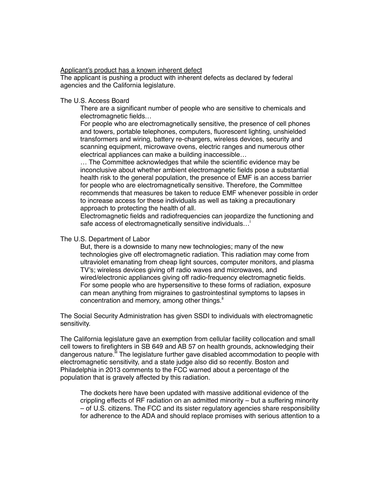## Applicant's product has a known inherent defect

The applicant is pushing a product with inherent defects as declared by federal agencies and the California legislature.

### The U.S. Access Board

There are a significant number of people who are sensitive to chemicals and electromagnetic fields…

For people who are electromagnetically sensitive, the presence of cell phones and towers, portable telephones, computers, fluorescent lighting, unshielded transformers and wiring, battery re-chargers, wireless devices, security and scanning equipment, microwave ovens, electric ranges and numerous other electrical appliances can make a building inaccessible…

… The Committee acknowledges that while the scientific evidence may be inconclusive about whether ambient electromagnetic fields pose a substantial health risk to the general population, the presence of EMF is an access barrier for people who are electromagnetically sensitive. Therefore, the Committee recommends that measures be taken to reduce EMF whenever possible in order to increase access for these individuals as well as taking a precautionary approach to protecting the health of all.

Electromagnetic fields and radiofrequencies can jeopardize the functioning and safe access of electromagnetically sensitive individuals...

#### The U.S. Department of Labor

But, there is a downside to many new technologies; many of the new technologies give off electromagnetic radiation. This radiation may come from ultraviolet emanating from cheap light sources, computer monitors, and plasma TV's; wireless devices giving off radio waves and microwaves, and wired/electronic appliances giving off radio-frequency electromagnetic fields. For some people who are hypersensitive to these forms of radiation, exposure can mean anything from migraines to gastrointestinal symptoms to lapses in concentration and memory, among other things."

The Social Security Administration has given SSDI to individuals with electromagnetic sensitivity.

The California legislature gave an exemption from cellular facility collocation and small cell towers to firefighters in SB 649 and AB 57 on health grounds, acknowledging their dangerous nature.<sup>iii</sup> The legislature further gave disabled accommodation to people with electromagnetic sensitivity, and a state judge also did so recently. Boston and Philadelphia in 2013 comments to the FCC warned about a percentage of the population that is gravely affected by this radiation.

The dockets here have been updated with massive additional evidence of the crippling effects of RF radiation on an admitted minority – but a suffering minority – of U.S. citizens. The FCC and its sister regulatory agencies share responsibility for adherence to the ADA and should replace promises with serious attention to a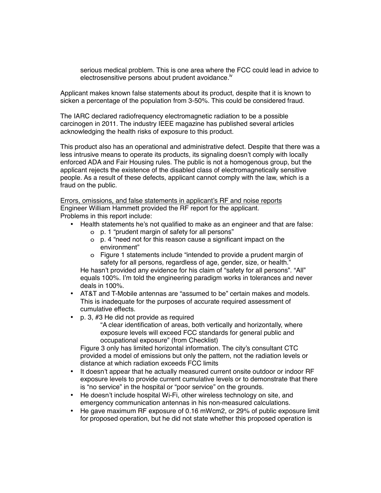serious medical problem. This is one area where the FCC could lead in advice to electrosensitive persons about prudent avoidance.<sup> $N$ </sup>

Applicant makes known false statements about its product, despite that it is known to sicken a percentage of the population from 3-50%. This could be considered fraud.

The IARC declared radiofrequency electromagnetic radiation to be a possible carcinogen in 2011. The industry IEEE magazine has published several articles acknowledging the health risks of exposure to this product.

This product also has an operational and administrative defect. Despite that there was a less intrusive means to operate its products, its signaling doesn't comply with locally enforced ADA and Fair Housing rules. The public is not a homogenous group, but the applicant rejects the existence of the disabled class of electromagnetically sensitive people. As a result of these defects, applicant cannot comply with the law, which is a fraud on the public.

Errors, omissions, and false statements in applicant's RF and noise reports Engineer William Hammett provided the RF report for the applicant. Problems in this report include:

- Health statements he's not qualified to make as an engineer and that are false:
	- o p. 1 "prudent margin of safety for all persons"
	- o p. 4 "need not for this reason cause a significant impact on the environment"
	- o Figure 1 statements include "intended to provide a prudent margin of safety for all persons, regardless of age, gender, size, or health."

He hasn't provided any evidence for his claim of "safety for all persons". "All" equals 100%. I'm told the engineering paradigm works in tolerances and never deals in 100%.

- AT&T and T-Mobile antennas are "assumed to be" certain makes and models. This is inadequate for the purposes of accurate required assessment of cumulative effects.
- p. 3, #3 He did not provide as required

"A clear identification of areas, both vertically and horizontally, where exposure levels will exceed FCC standards for general public and occupational exposure" (from Checklist)

Figure 3 only has limited horizontal information. The city's consultant CTC provided a model of emissions but only the pattern, not the radiation levels or distance at which radiation exceeds FCC limits

- It doesn't appear that he actually measured current onsite outdoor or indoor RF exposure levels to provide current cumulative levels or to demonstrate that there is "no service" in the hospital or "poor service" on the grounds.
- He doesn't include hospital Wi-Fi, other wireless technology on site, and emergency communication antennas in his non-measured calculations.
- He gave maximum RF exposure of 0.16 mWcm2, or 29% of public exposure limit for proposed operation, but he did not state whether this proposed operation is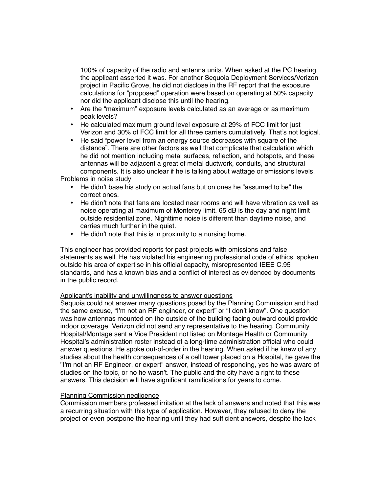100% of capacity of the radio and antenna units. When asked at the PC hearing, the applicant asserted it was. For another Sequoia Deployment Services/Verizon project in Pacific Grove, he did not disclose in the RF report that the exposure calculations for "proposed" operation were based on operating at 50% capacity nor did the applicant disclose this until the hearing.

- Are the "maximum" exposure levels calculated as an average or as maximum peak levels?
- He calculated maximum ground level exposure at 29% of FCC limit for just Verizon and 30% of FCC limit for all three carriers cumulatively. That's not logical.
- He said "power level from an energy source decreases with square of the distance". There are other factors as well that complicate that calculation which he did not mention including metal surfaces, reflection, and hotspots, and these antennas will be adjacent a great of metal ductwork, conduits, and structural components. It is also unclear if he is talking about wattage or emissions levels.

Problems in noise study

- He didn't base his study on actual fans but on ones he "assumed to be" the correct ones.
- He didn't note that fans are located near rooms and will have vibration as well as noise operating at maximum of Monterey limit. 65 dB is the day and night limit outside residential zone. Nighttime noise is different than daytime noise, and carries much further in the quiet.
- He didn't note that this is in proximity to a nursing home.

This engineer has provided reports for past projects with omissions and false statements as well. He has violated his engineering professional code of ethics, spoken outside his area of expertise in his official capacity, misrepresented IEEE C.95 standards, and has a known bias and a conflict of interest as evidenced by documents in the public record.

## Applicant's inability and unwillingness to answer questions

Sequoia could not answer many questions posed by the Planning Commission and had the same excuse, "I'm not an RF engineer, or expert" or "I don't know". One question was how antennas mounted on the outside of the building facing outward could provide indoor coverage. Verizon did not send any representative to the hearing. Community Hospital/Montage sent a Vice President not listed on Montage Health or Community Hospital's administration roster instead of a long-time administration official who could answer questions. He spoke out-of-order in the hearing. When asked if he knew of any studies about the health consequences of a cell tower placed on a Hospital, he gave the "I'm not an RF Engineer, or expert" answer, instead of responding, yes he was aware of studies on the topic, or no he wasn't. The public and the city have a right to these answers. This decision will have significant ramifications for years to come.

# Planning Commission negligence

Commission members professed irritation at the lack of answers and noted that this was a recurring situation with this type of application. However, they refused to deny the project or even postpone the hearing until they had sufficient answers, despite the lack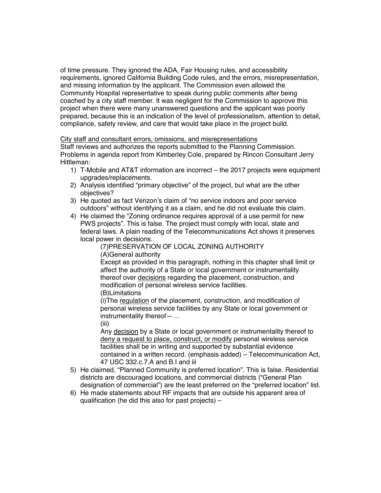of time pressure. They ignored the ADA, Fair Housing rules, and accessibility requirements, ignored California Building Code rules, and the errors, misrepresentation, and missing information by the applicant. The Commission even allowed the Community Hospital representative to speak during public comments after being coached by a city staff member. It was negligent for the Commission to approve this project when there were many unanswered questions and the applicant was poorly prepared, because this is an indication of the level of professionalism, attention to detail, compliance, safety review, and care that would take place in the project build.

# City staff and consultant errors, omissions, and misrepresentations

Staff reviews and authorizes the reports submitted to the Planning Commission. Problems in agenda report from Kimberley Cole, prepared by Rincon Consultant Jerry Hittleman:

- 1) T-Mobile and AT&T information are incorrect the 2017 projects were equipment upgrades/replacements.
- 2) Analysis identified "primary objective" of the project, but what are the other objectives?
- 3) He quoted as fact Verizon's claim of "no service indoors and poor service outdoors" without identifying it as a claim, and he did not evaluate this claim.
- 4) He claimed the "Zoning ordinance requires approval of a use permit for new PWS projects". This is false. The project must comply with local, state and federal laws. A plain reading of the Telecommunications Act shows it preserves local power in decisions.

(7)PRESERVATION OF LOCAL ZONING AUTHORITY (A)General authority

Except as provided in this paragraph, nothing in this chapter shall limit or affect the authority of a State or local government or instrumentality thereof over decisions regarding the placement, construction, and modification of personal wireless service facilities.

(B)Limitations

(i) The regulation of the placement, construction, and modification of personal wireless service facilities by any State or local government or instrumentality thereof—…

(iii)

Any decision by a State or local government or instrumentality thereof to deny a request to place, construct, or modify personal wireless service facilities shall be in writing and supported by substantial evidence contained in a written record. (emphasis added) – Telecommunication Act, 47 USC 332.c.7.A and B.I and iii

- 5) He claimed, "Planned Community is preferred location". This is false. Residential districts are discouraged locations, and commercial districts ("General Plan designation of commercial") are the least preferred on the "preferred location" list.
- 6) He made statements about RF impacts that are outside his apparent area of qualification (he did this also for past projects) –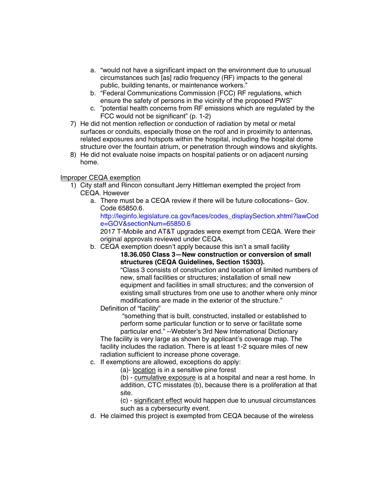- a. "would not have a significant impact on the environment due to unusual circumstances such [as] radio frequency (RF) impacts to the general public, building tenants, or maintenance workers."
- b. "Federal Communications Commission (FCC) RF regulations, which ensure the safety of persons in the vicinity of the proposed PWS"
- c. "potential health concerns from RF emissions which are regulated by the FCC would not be significant" (p. 1-2)
- 7) He did not mention reflection or conduction of radiation by metal or metal surfaces or conduits, especially those on the roof and in proximity to antennas, related exposures and hotspots within the hospital, including the hospital dome structure over the fountain atrium, or penetration through windows and skylights.
- 8) He did not evaluate noise impacts on hospital patients or on adjacent nursing home.

# Improper CEQA exemption

- 1) City staff and Rincon consultant Jerry Hittleman exempted the project from CEQA. However
	- a. There must be a CEQA review if there will be future collocations– Gov. Code 65850.6.

http://leginfo.legislature.ca.gov/faces/codes\_displaySection.xhtml?lawCod e=GOV&sectionNum=65850.6

2017 T-Mobile and AT&T upgrades were exempt from CEQA. Were their original approvals reviewed under CEQA.

b. CEQA exemption doesn't apply because this isn't a small facility **18.36.050 Class 3—New construction or conversion of small structures (CEQA Guidelines, Section 15303).** 

"Class 3 consists of construction and location of limited numbers of new, small facilities or structures; installation of small new equipment and facilities in small structures; and the conversion of existing small structures from one use to another where only minor modifications are made in the exterior of the structure."

Definition of "facility"

 "something that is built, constructed, installed or established to perform some particular function or to serve or facilitate some

particular end." --Webster's 3rd New International Dictionary The facility is very large as shown by applicant's coverage map. The facility includes the radiation. There is at least 1-2 square miles of new radiation sufficient to increase phone coverage.

c. If exemptions are allowed, exceptions do apply:

(a)- location is in a sensitive pine forest

(b) - cumulative exposure is at a hospital and near a rest home. In addition, CTC misstates (b), because there is a proliferation at that site.

(c) - significant effect would happen due to unusual circumstances such as a cybersecurity event.

d. He claimed this project is exempted from CEQA because of the wireless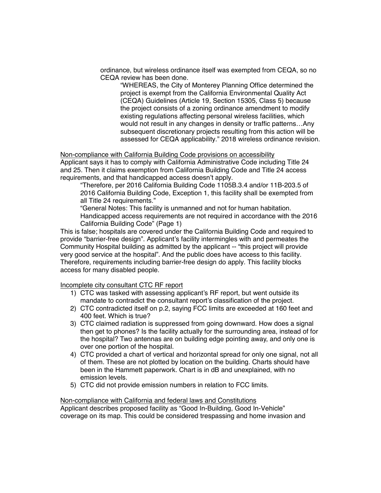ordinance, but wireless ordinance itself was exempted from CEQA, so no CEQA review has been done.

"WHEREAS, the City of Monterey Planning Office determined the project is exempt from the California Environmental Quality Act (CEQA) Guidelines (Article 19, Section 15305, Class 5) because the project consists of a zoning ordinance amendment to modify existing regulations affecting personal wireless facilities, which would not result in any changes in density or traffic patterns…Any subsequent discretionary projects resulting from this action will be assessed for CEQA applicability." 2018 wireless ordinance revision.

Non-compliance with California Building Code provisions on accessibility Applicant says it has to comply with California Administrative Code including Title 24 and 25. Then it claims exemption from California Building Code and Title 24 access requirements, and that handicapped access doesn't apply.

"Therefore, per 2016 California Building Code 1105B.3.4 and/or 11B-203.5 of 2016 California Building Code, Exception 1, this facility shall be exempted from all Title 24 requirements."

"General Notes: This facility is unmanned and not for human habitation. Handicapped access requirements are not required in accordance with the 2016 California Building Code" (Page 1)

This is false; hospitals are covered under the California Building Code and required to provide "barrier-free design". Applicant's facility intermingles with and permeates the Community Hospital building as admitted by the applicant -- "this project will provide very good service at the hospital". And the public does have access to this facility. Therefore, requirements including barrier-free design do apply. This facility blocks access for many disabled people.

Incomplete city consultant CTC RF report

- 1) CTC was tasked with assessing applicant's RF report, but went outside its mandate to contradict the consultant report's classification of the project.
- 2) CTC contradicted itself on p.2, saying FCC limits are exceeded at 160 feet and 400 feet. Which is true?
- 3) CTC claimed radiation is suppressed from going downward. How does a signal then get to phones? Is the facility actually for the surrounding area, instead of for the hospital? Two antennas are on building edge pointing away, and only one is over one portion of the hospital.
- 4) CTC provided a chart of vertical and horizontal spread for only one signal, not all of them. These are not plotted by location on the building. Charts should have been in the Hammett paperwork. Chart is in dB and unexplained, with no emission levels.
- 5) CTC did not provide emission numbers in relation to FCC limits.

Non-compliance with California and federal laws and Constitutions Applicant describes proposed facility as "Good In-Building, Good In-Vehicle" coverage on its map. This could be considered trespassing and home invasion and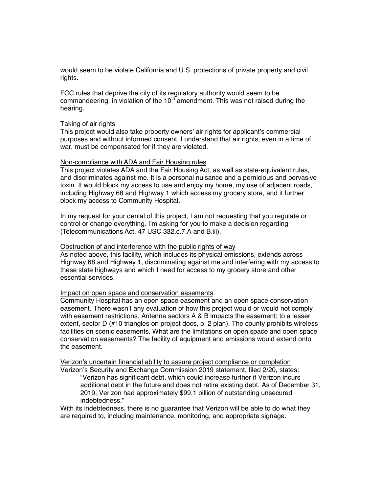would seem to be violate California and U.S. protections of private property and civil rights.

FCC rules that deprive the city of its regulatory authority would seem to be commandeering, in violation of the  $10<sup>th</sup>$  amendment. This was not raised during the hearing.

### Taking of air rights

This project would also take property owners' air rights for applicant's commercial purposes and without informed consent. I understand that air rights, even in a time of war, must be compensated for if they are violated.

## Non-compliance with ADA and Fair Housing rules

This project violates ADA and the Fair Housing Act, as well as state-equivalent rules, and discriminates against me. It is a personal nuisance and a pernicious and pervasive toxin. It would block my access to use and enjoy my home, my use of adjacent roads, including Highway 68 and Highway 1 which access my grocery store, and it further block my access to Community Hospital.

In my request for your denial of this project, I am not requesting that you regulate or control or change everything. I'm asking for you to make a decision regarding (Telecommunications Act, 47 USC 332.c.7.A and B.iii).

### Obstruction of and interference with the public rights of way

As noted above, this facility, which includes its physical emissions, extends across Highway 68 and Highway 1, discriminating against me and interfering with my access to these state highways and which I need for access to my grocery store and other essential services.

#### Impact on open space and conservation easements

Community Hospital has an open space easement and an open space conservation easement. There wasn't any evaluation of how this project would or would not comply with easement restrictions. Antenna sectors A & B impacts the easement; to a lesser extent, sector D (#10 triangles on project docs, p. 2 plan). The county prohibits wireless facilities on scenic easements. What are the limitations on open space and open space conservation easements? The facility of equipment and emissions would extend onto the easement.

Verizon's uncertain financial ability to assure project compliance or completion

Verizon's Security and Exchange Commission 2019 statement, filed 2/20, states:

"Verizon has significant debt, which could increase further if Verizon incurs additional debt in the future and does not retire existing debt. As of December 31, 2019, Verizon had approximately \$99.1 billion of outstanding unsecured indebtedness."

With its indebtedness, there is no guarantee that Verizon will be able to do what they are required to, including maintenance, monitoring, and appropriate signage.